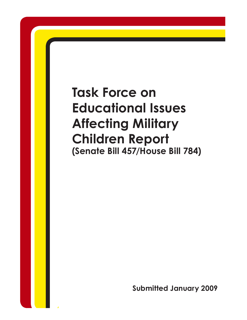# **Task Force on Educational Issues Affecting Military Children Report (Senate Bill 457/House Bill 784)**

**Submitted January 2009**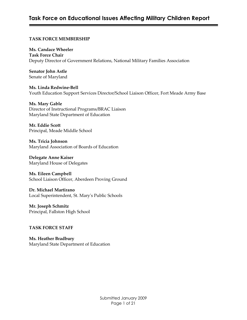# **Task Force on Educational Issues Affecting Military Children Report**

#### **TASK FORCE MEMBERSHIP**

**Ms. Candace Wheeler Task Force Chair** Deputy Director of Government Relations, National Military Families Association

**Senator John Astle** Senate of Maryland

**Ms. Linda Redwine‑Bell** Youth Education Support Services Director/School Liaison Officer, Fort Meade Army Base

**Ms. Mary Gable** Director of Instructional Programs/BRAC Liaison Maryland State Department of Education

**Mr. Eddie Scott** Principal, Meade Middle School

**Ms. Tricia Johnson** Maryland Association of Boards of Education

**Delegate Anne Kaiser** Maryland House of Delegates

**Ms. Eileen Campbell** School Liaison Officer, Aberdeen Proving Ground

**Dr. Michael Martirano** Local Superintendent, St. Maryʹs Public Schools

**Mr. Joseph Schmitz** Principal, Fallston High School

#### **TASK FORCE STAFF**

**Ms. Heather Bradbury** Maryland State Department of Education

> Submitted January 2009 Page 1 of 21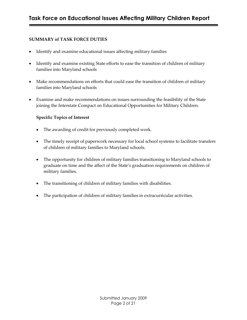#### **SUMMARY of TASK FORCE DUTIES**

- · Identify and examine educational issues affecting military families
- Identify and examine existing State efforts to ease the transition of children of military families into Maryland schools
- · Make recommendations on efforts that could ease the transition of children of military families into Maryland schools
- · Examine and make recommendations on issues surrounding the feasibility of the State joining the Interstate Compact on Educational Opportunities for Military Children.

#### **Specific Topics of Interest**

- · The awarding of credit for previously completed work.
- The timely receipt of paperwork necessary for local school systems to facilitate transfers of children of military families to Maryland schools.
- · The opportunity for children of military families transitioning to Maryland schools to graduate on time and the affect of the State's graduation requirements on children of military families.
- · The transitioning of children of military families with disabilities.
- · The participation of children of military families in extracurricular activities.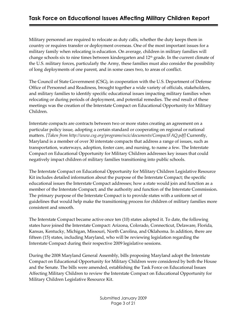Military personnel are required to relocate as duty calls, whether the duty keeps them in country or requires transfer or deployment overseas. One of the most important issues for a military family when relocating is education. On average, children in military families will change schools six to nine times between kindergarten and 12<sup>th</sup> grade. In the current climate of the U.S. military forces, particularly the Army, these families must also consider the possibility of long deployments of one parent, and in some cases two, to areas of conflict.

The Council of State Government (CSG), in cooperation with the U.S. Department of Defense Office of Personnel and Readiness, brought together a wide variety of officials, stakeholders, and military families to identify specific educational issues impacting military families when relocating or during periods of deployment, and potential remedies. The end result of these meetings was the creation of the Interstate Compact on Educational Opportunity for Military Children.

Interstate compacts are contracts between two or more states creating an agreement on a particular policy issue, adopting a certain standard or cooperating on regional or national matters. *[Taken from http://www.csg.org/programs/ncic/documents/CompactFAQ.pdf]* Currently, Maryland is a member of over 30 interstate compacts that address a range of issues, such as transportation, waterways, adoption, foster care, and nursing, to name a few. The Interstate Compact on Educational Opportunity for Military Children addresses key issues that could negatively impact children of military families transitioning into public schools.

The Interstate Compact on Educational Opportunity for Military Children Legislative Resource Kit includes detailed information about the purpose of the Interstate Compact; the specific educational issues the Interstate Compact addresses; how a state would join and function as a member of the Interstate Compact; and the authority and function of the Interstate Commission. The primary purpose of the Interstate Compact is to provide states with a uniform set of guidelines that would help make the transitioning process for children of military families more consistent and smooth.

The Interstate Compact became active once ten (10) states adopted it. To date, the following states have joined the Interstate Compact: Arizona, Colorado, Connecticut, Delaware, Florida, Kansas, Kentucky, Michigan, Missouri, North Carolina, and Oklahoma. In addition, there are fifteen (15) states, including Maryland, who will be reviewing legislation regarding the Interstate Compact during their respective 2009 legislative sessions.

During the 2008 Maryland General Assembly, bills proposing Maryland adopt the Interstate Compact on Educational Opportunity for Military Children were considered by both the House and the Senate. The bills were amended, establishing the Task Force on Educational Issues Affecting Military Children to review the Interstate Compact on Educational Opportunity for Military Children Legislative Resource Kit.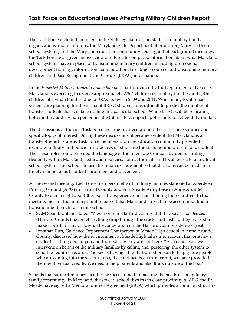The Task Force included members of the State legislature, and staff from military family organizations and institutions, the Maryland State Department of Education, Maryland local school systems, and the Maryland education community. During initial background meetings, the Task Force was given an overview of interstate compacts; information about what Maryland school systems have in place for transitioning military children, including professional development training; information about additional existing resources for transitioning military children; and Base Realignment and Closure (BRAC) information.

In the *Projected Military Student Growth by State* chart provided by the Department of Defense, Maryland is expecting to receive approximately 2,264 children of military families and 3,856 children of civilian families due to BRAC between 2009 and 2011. While many local school systems are planning for the influx of BRAC students, it is difficult to predict the number of transfer students that will be enrolling in a particular school. While BRAC will be relocating both military and civilian personnel, the Interstate Compact applies only to active-duty military.

The discussions at the first Task Force meeting revolved around the Task Force's duties and specific topics of interest. During these discussions, it became evident that Maryland is a transfer‑friendly state as Task Force members from the education community provided examples of Maryland policies or practices used to ease the transitioning process for a student. These examples complemented the language of the Interstate Compact by demonstrating flexibility within Maryland's education policies, both at the state and local levels, to allow local school systems and schools to use discretionary judgment so that decisions can be made in a timely manner about student enrollment and placement.

At the second meeting, Task Force members met with military families stationed at Aberdeen Proving Ground (APG) in Harford County and Fort Meade Army Base in Anne Arundel County to gain insight about their specific experiences in transitioning their children. In that meeting, most of the military families agreed that Maryland strived to be accommodating in transitioning their children into schools.

- · SGM Sean Branham stated, "Never once in Harford County did they say *so sad, too bad*. (Harford County) never let anything drop through the cracks and instead they worked to make it work for my children. The cooperation on the Harford County side was great."
- · Jonathan Putt, Guidance Department Chairperson at Meade High School in Anne Arundel County, discussed how the environment at Meade High takes into account that one day a student is sitting next to you and the next day they are not there. "As a counselor, we intervene on behalf of the military families by calling and 'pestering' the other system to send the required records. The key is having a highly-trained person to help guide people who are coming into the system. Also, if a child needs an extra credit, we have provided them with virtual credits. We need to help parents and also think outside of the box."

Schools that support military facilities are accustomed to meeting the needs of the military family community. In Maryland, the several school districts in close proximity to APG and Ft. Meade have signed a Memorandum of Agreement (MOA) which provides a common structure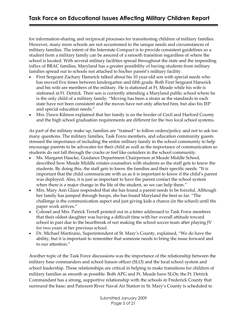for information-sharing and reciprocal processes for transitioning children of military families. However, many more schools are not accustomed to the unique needs and circumstances of military families. The intent of the Interstate Compact is to provide consistent guidelines so a student from a military family can be assured of a smooth transition regardless of where the school is located. With several military facilities spread throughout the state and the impending influx of BRAC families, Maryland has a greater possibility of having students from military families spread out to schools not attached to his/her parent's military facility.

- First Sergeant Zachary Hansrick talked about his 10 year-old son with special needs who has moved five times between kindergarten and fifth grade. Both First Sergeant Hansrick and his wife are members of the military. He is stationed at Ft. Meade while his wife is stationed at Ft. Detrick. Their son is currently attending a Maryland public school where he is the only child of a military family. "Moving has been a strain as the standards in each state have not been consistent and the moves have not only affected him, but also his IEP and special education needs."
- · Mrs. Dawn Kilmon explained that her family is on the border of Cecil and Harford County and the high school graduation requirements are different for the two local school systems.

As part of the military make up, families are "trained" to follow orders/policy and not to ask too many questions. The military families, Task Force members, and education community guests stressed the importance of including the entire military family in the school community to help encourage parents to be advocates for their child as well as the importance of communication so students do not fall through the cracks or feel like outsiders in the school community.

- · Ms. Margaret Haacke, Guidance Department Chairperson at Meade Middle School, described how Meade Middle rotates counselors with students so the staff gets to know the students. By doing this, the staff gets to know the families and their specific needs. "It is important that the child communicate with us as it is important to know if the child's parent was deployed. Also, it is just as important to have the parent contact the school system when there is a major change in the life of the student, so we can help them."
- Mrs. Mary Ann Glaze responded that she has found a parent needs to be forceful. Although her family has jumped through hoops, she has found Maryland the best so far. "The challenge is the communication aspect and just giving kids a chance (in the school) until the paper work arrives."
- · Colonel and Mrs. Patrick Terrell pointed out in a letter addressed to Task Force members that their oldest daughter was having a difficult time with her overall attitude toward school in part due to the heartbreak of not making the school soccer team after playing JV for two years at her previous school.
- · Dr. Michael Martirano, Superintendent of St. Mary's County, explained, "We do have the ability, but it is important to remember that someone needs to bring the issue forward and to our attention."

Another topic of the Task Force discussions was the importance of the relationship between the military base commanders and school liaison officer (SLO) and the local school system and school leadership. These relationships are critical in helping to make transitions for children of military families as smooth as possible. Both APG and Ft. Meade have SLOs; the Ft. Detrick Commandant has a strong, supportive relationship with the schools in Frederick County that surround the base; and Patuxent River Naval Air Station in St. Mary's County is scheduled to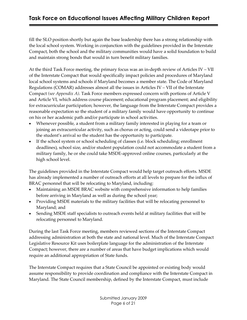fill the SLO position shortly but again the base leadership there has a strong relationship with the local school system. Working in conjunction with the guidelines provided in the Interstate Compact, both the school and the military communities would have a solid foundation to build and maintain strong bonds that would in turn benefit military families.

At the third Task Force meeting, the primary focus was an in‑depth review of Articles IV – VII of the Interstate Compact that would specifically impact policies and procedures of Maryland local school systems and schools if Maryland becomes a member state. The Code of Maryland Regulations (COMAR) addresses almost all the issues in Articles IV – VII of the Interstate Compact *(see Appendix A)*. Task Force members expressed concern with portions of Article V and Article VI, which address course placement; educational program placement; and eligibility for extracurricular participation; however, the language from the Interstate Compact provides a reasonable expectation so the student of a military family would have opportunity to continue on his or her academic path and/or participate in school activities.

- Whenever possible, a student from a military family interested in playing for a team or joining an extracurricular activity, such as chorus or acting, could send a videotape prior to the student's arrival so the student has the opportunity to participate.
- · If the school system or school scheduling of classes (i.e. block scheduling; enrollment deadlines), school size, and/or student population could not accommodate a student from a military family, he or she could take MSDE‑approved online courses, particularly at the high school level.

The guidelines provided in the Interstate Compact would help target outreach efforts. MSDE has already implemented a number of outreach efforts at all levels to prepare for the influx of BRAC personnel that will be relocating to Maryland, including:

- · Maintaining an MSDE BRAC website with comprehensive information to help families before arriving in Maryland as well as during the school year;
- · Providing MSDE materials to the military facilities that will be relocating personnel to Maryland; and
- · Sending MSDE staff specialists to outreach events held at military facilities that will be relocating personnel to Maryland.

During the last Task Force meeting, members reviewed sections of the Interstate Compact addressing administration at both the state and national level. Much of the Interstate Compact Legislative Resource Kit uses boilerplate language for the administration of the Interstate Compact; however, there are a number of areas that have budget implications which would require an additional appropriation of State funds.

The Interstate Compact requires that a State Council be appointed or existing body would assume responsibility to provide coordination and compliance with the Interstate Compact in Maryland. The State Council membership, defined by the Interstate Compact, must include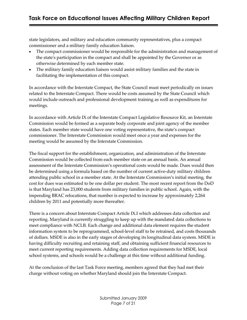state legislators, and military and education community representatives, plus a compact commissioner and a military family education liaison.

- The compact commissioner would be responsible for the administration and management of the stateʹs participation in the compact and shall be appointed by the Governor or as otherwise determined by each member state.
- · The military family education liaison would assist military families and the state in facilitating the implementation of this compact.

In accordance with the Interstate Compact, the State Council must meet periodically on issues related to the Interstate Compact. There would be costs assumed by the State Council which would include outreach and professional development training as well as expenditures for meetings.

In accordance with Article IX of the Interstate Compact Legislative Resource Kit, an Interstate Commission would be formed as a separate body corporate and joint agency of the member states. Each member state would have one voting representative, the state's compact commissioner. The Interstate Commission would meet once a year and expenses for the meeting would be assumed by the Interstate Commission.

The fiscal support for the establishment, organization, and administration of the Interstate Commission would be collected from each member state on an annual basis. An annual assessment of the Interstate Commission's operational costs would be made. Dues would then be determined using a formula based on the number of current active-duty military children attending public school in a member state. At the Interstate Commission's initial meeting, the cost for dues was estimated to be one dollar per student. The most recent report from the DoD is that Maryland has 23,000 students from military families in public school. Again, with the impending BRAC relocations, that number is expected to increase by approximately 2,264 children by 2011 and potentially more thereafter.

There is a concern about Interstate Compact Article IX.I which addresses data collection and reporting. Maryland is currently struggling to keep up with the mandated data collections to meet compliance with NCLB. Each change and additional data element requires the student information system to be reprogrammed, school-level staff to be retrained, and costs thousands of dollars. MSDE is also in the early stages of developing its longitudinal data system. MSDE is having difficulty recruiting and retaining staff, and obtaining sufficient financial resources to meet current reporting requirements. Adding data collection requirements for MSDE, local school systems, and schools would be a challenge at this time without additional funding.

At the conclusion of the last Task Force meeting, members agreed that they had met their charge without voting on whether Maryland should join the Interstate Compact.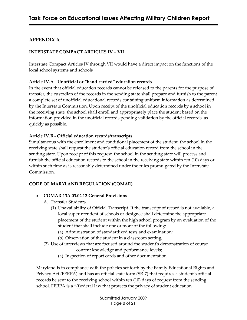# **APPENDIX A**

## **INTERSTATE COMPACT ARTICLES IV – VII**

Interstate Compact Articles IV through VII would have a direct impact on the functions of the local school systems and schools

### **Article IV.A ‑ Unofficial or "hand‑carried" education records**

In the event that official education records cannot be released to the parents for the purpose of transfer, the custodian of the records in the sending state shall prepare and furnish to the parent a complete set of unofficial educational records containing uniform information as determined by the Interstate Commission. Upon receipt of the unofficial education records by a school in the receiving state, the school shall enroll and appropriately place the student based on the information provided in the unofficial records pending validation by the official records, as quickly as possible.

## **Article IV.B ‑ Official education records/transcripts**

Simultaneous with the enrollment and conditional placement of the student, the school in the receiving state shall request the student's official education record from the school in the sending state. Upon receipt of this request, the school in the sending state will process and furnish the official education records to the school in the receiving state within ten (10) days or within such time as is reasonably determined under the rules promulgated by the Interstate Commission.

# **CODE OF MARYLAND REGULATION (COMAR)**

### · **COMAR 13A.03.02.12 General Provisions**

- A. Transfer Students.
	- (1) Unavailability of Official Transcript. If the transcript of record is not available, a local superintendent of schools or designee shall determine the appropriate placement of the student within the high school program by an evaluation of the student that shall include one or more of the following:
		- (a) Administration of standardized tests and examination;
		- (b) Observation of the student in a classroom setting;
- (2) Use of interviews that are focused around the studentʹs demonstration of course content knowledge and performance levels;
	- (a) Inspection of report cards and other documentation.

Maryland is in compliance with the policies set forth by the Family Educational Rights and Privacy Act (FERPA) and has an official state form (SR-7) that requires a student's official records be sent to the receiving school within ten (10) days of request from the sending school. FERPA is a "(f)ederal law that protects the privacy of student education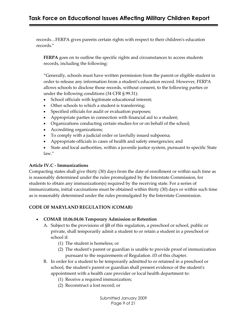# **Task Force on Educational Issues Affecting Military Children Report**

records…FERPA gives parents certain rights with respect to their children's education records."

**FERPA** goes on to outline the specific rights and circumstances to access students records, including the following:

"Generally, schools must have written permission from the parent or eligible student in order to release any information from a studentʹs education record. However, FERPA allows schools to disclose those records, without consent, to the following parties or under the following conditions (34 CFR § 99.31):

- · School officials with legitimate educational interest;
- · Other schools to which a student is transferring;
- · Specified officials for audit or evaluation purposes;
- · Appropriate parties in connection with financial aid to a student;
- · Organizations conducting certain studies for or on behalf of the school;
- · Accrediting organizations;
- · To comply with a judicial order or lawfully issued subpoena;
- · Appropriate officials in cases of health and safety emergencies; and
- · State and local authorities, within a juvenile justice system, pursuant to specific State law."

### **Article IV.C ‑ Immunizations**

Compacting states shall give thirty (30) days from the date of enrollment or within such time as is reasonably determined under the rules promulgated by the Interstate Commission, for students to obtain any immunization(s) required by the receiving state. For a series of immunizations, initial vaccinations must be obtained within thirty (30) days or within such time as is reasonably determined under the rules promulgated by the Interstate Commission.

### **CODE OF MARYLAND REGULATION (COMAR)**

- · **COMAR 10.06.04.06 Temporary Admission or Retention**
	- A. Subject to the provisions of §B of this regulation, a preschool or school, public or private, shall temporarily admit a student to or retain a student in a preschool or school if:
		- (1) The student is homeless; or
		- (2) The studentʹs parent or guardian is unable to provide proof of immunization pursuant to the requirements of Regulation .03 of this chapter.
	- B. In order for a student to be temporarily admitted to or retained in a preschool or school, the student's parent or guardian shall present evidence of the student's appointment with a health care provider or local health department to:
		- (1) Receive a required immunization;
		- (2) Reconstruct a lost record; or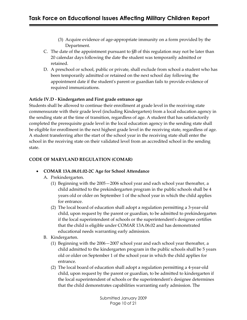- (3) Acquire evidence of age‑appropriate immunity on a form provided by the Department.
- C. The date of the appointment pursuant to §B of this regulation may not be later than 20 calendar days following the date the student was temporarily admitted or retained.
- D. A preschool or school, public or private, shall exclude from school a student who has been temporarily admitted or retained on the next school day following the appointment date if the student's parent or guardian fails to provide evidence of required immunizations.

## **Article IV.D ‑ Kindergarten and First grade entrance age**

Students shall be allowed to continue their enrollment at grade level in the receiving state commensurate with their grade level (including Kindergarten) from a local education agency in the sending state at the time of transition, regardless of age. A student that has satisfactorily completed the prerequisite grade level in the local education agency in the sending state shall be eligible for enrollment in the next highest grade level in the receiving state, regardless of age. A student transferring after the start of the school year in the receiving state shall enter the school in the receiving state on their validated level from an accredited school in the sending state.

## **CODE OF MARYLAND REGULATION (COMAR)**

# · **COMAR 13A.08.01.02‑2C Age for School Attendance**

- A. Prekindergarten.
	- (1) Beginning with the 2005—2006 school year and each school year thereafter, a child admitted to the prekindergarten program in the public schools shall be 4 years old or older on September 1 of the school year in which the child applies for entrance.
	- (2) The local board of education shall adopt a regulation permitting a 3‑year‑old child, upon request by the parent or guardian, to be admitted to prekindergarten if the local superintendent of schools or the superintendentʹs designee certifies that the child is eligible under COMAR 13A.06.02 and has demonstrated educational needs warranting early admission.
- B. Kindergarten.
	- (1) Beginning with the 2006—2007 school year and each school year thereafter, a child admitted to the kindergarten program in the public schools shall be 5 years old or older on September 1 of the school year in which the child applies for entrance.
	- (2) The local board of education shall adopt a regulation permitting a 4‑year‑old child, upon request by the parent or guardian, to be admitted to kindergarten if the local superintendent of schools or the superintendentʹs designee determines that the child demonstrates capabilities warranting early admission. The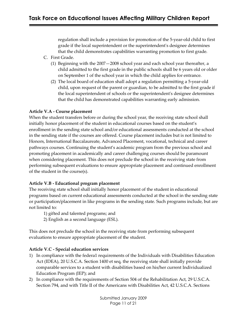regulation shall include a provision for promotion of the 5‑year‑old child to first grade if the local superintendent or the superintendentʹs designee determines that the child demonstrates capabilities warranting promotion to first grade.

- C. First Grade.
	- (1) Beginning with the 2007—2008 school year and each school year thereafter, a child admitted to the first grade in the public schools shall be 6 years old or older on September 1 of the school year in which the child applies for entrance.
	- (2) The local board of education shall adopt a regulation permitting a 5‑year‑old child, upon request of the parent or guardian, to be admitted to the first grade if the local superintendent of schools or the superintendentʹs designee determines that the child has demonstrated capabilities warranting early admission.

### **Article V.A ‑ Course placement**

When the student transfers before or during the school year, the receiving state school shall initially honor placement of the student in educational courses based on the student's enrollment in the sending state school and/or educational assessments conducted at the school in the sending state if the courses are offered. Course placement includes but is not limited to Honors, International Baccalaureate, Advanced Placement, vocational, technical and career pathways courses. Continuing the student's academic program from the previous school and promoting placement in academically and career challenging courses should be paramount when considering placement. This does not preclude the school in the receiving state from performing subsequent evaluations to ensure appropriate placement and continued enrollment of the student in the course(s).

### **Article V.B ‑ Educational program placement**

The receiving state school shall initially honor placement of the student in educational programs based on current educational assessments conducted at the school in the sending state or participation/placement in like programs in the sending state. Such programs include, but are not limited to:

- 1) gifted and talented programs; and
- 2) English as a second language (ESL).

This does not preclude the school in the receiving state from performing subsequent evaluations to ensure appropriate placement of the student.

### **Article V.C ‑ Special education services**

- 1) In compliance with the federa1 requirements of the Individuals with Disabilities Education Act (IDEA), 20 U.S.C.A. Section 1400 et seq, the receiving state shall initially provide comparable services to a student with disabilities based on his/her current Individualized Education Program (IEP); and
- 2) In compliance with the requirements of Section 504 of the Rehabilitation Act, 29 U.S.C.A. Section 794, and with Title II of the Americans with Disabilities Act, 42 U.S.C.A. Sections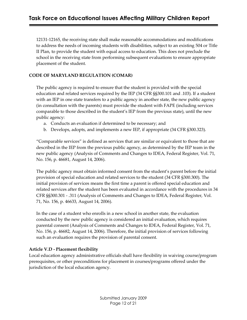12131‑12165, the receiving state shall make reasonable accommodations and modifications to address the needs of incoming students with disabilities, subject to an existing 504 or Title II Plan, to provide the student with equal access to education. This does not preclude the school in the receiving state from performing subsequent evaluations to ensure appropriate placement of the student.

#### **CODE OF MARYLAND REGULATION (COMAR)**

The public agency is required to ensure that the student is provided with the special education and related services required by the IEP (34 CFR §§300.101 and .103). If a student with an IEP in one state transfers to a public agency in another state, the new public agency (in consultation with the parents) must provide the student with FAPE (including services comparable to those described in the student's IEP from the previous state), until the new public agency:

- a. Conducts an evaluation if determined to be necessary; and
- b. Develops, adopts, and implements a new IEP, if appropriate (34 CFR §300.323).

"Comparable services" is defined as services that are similar or equivalent to those that are described in the IEP from the previous public agency, as determined by the IEP team in the new public agency (Analysis of Comments and Changes to IDEA, Federal Register, Vol. 71, No. 156, p. 46681, August 14, 2006).

The public agency must obtain informed consent from the student's parent before the initial provision of special education and related services to the student (34 CFR §300.300). The initial provision of services means the first time a parent is offered special education and related services after the student has been evaluated in accordance with the procedures in 34 CFR §§300.301 ‑.311 (Analysis of Comments and Changes to IDEA, Federal Register, Vol. 71, No. 156, p. 46633, August 14, 2006).

In the case of a student who enrolls in a new school in another state, the evaluation conducted by the new public agency is considered an initial evaluation, which requires parental consent (Analysis of Comments and Changes to IDEA, Federal Register, Vol. 71, No. 156, p. 46682, August 14, 2006). Therefore, the initial provision of services following such an evaluation requires the provision of parental consent.

#### **Article V.D ‑ Placement flexibility**

Local education agency administrative officials shall have flexibility in waiving course/program prerequisites, or other preconditions for placement in courses/programs offered under the jurisdiction of the local education agency.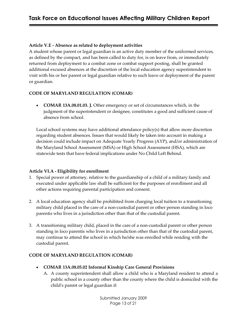### **Article V.E ‑ Absence as related to deployment activities**

A student whose parent or legal guardian is an active duty member of the uniformed services, as defined by the compact, and has been called to duty for, is on leave from, or immediately returned from deployment to a combat zone or combat support posting, shall be granted additional excused absences at the discretion of the local education agency superintendent to visit with his or her parent or legal guardian relative to such leave or deployment of the parent or guardian.

### **CODE OF MARYLAND REGULATION (COMAR)**

· **COMAR 13A.08.01.03. J.** Other emergency or set of circumstances which, in the judgment of the superintendent or designee, constitutes a good and sufficient cause of absence from school.

Local school systems may have additional attendance policy(s) that allow more discretion regarding student absences. Issues that would likely be taken into account in making a decision could include impact on Adequate Yearly Progress (AYP), and/or administration of the Maryland School Assessment (MSA) or High School Assessment (HSA), which are statewide tests that have federal implications under No Child Left Behind.

### **Article VI.A ‑ Eligibility for enrollment**

- 1. Special power of attorney, relative to the guardianship of a child of a military family and executed under applicable law shall be sufficient for the purposes of enrollment and all other actions requiring parental participation and consent.
- 2. A local education agency shall be prohibited from charging local tuition to a transitioning military child placed in the care of a non‑custodial parent or other person standing in loco parentis who lives in a jurisdiction other than that of the custodial parent.
- 3. A transitioning military child, placed in the care of a non‑custodial parent or other person standing in loco parentis who lives in a jurisdiction other than that of the custodial parent, may continue to attend the school in which he/she was enrolled while residing with the custodial parent.

### **CODE OF MARYLAND REGULATION (COMAR)**

- · **COMAR 13A.08.05.02 Informal Kinship Care General Provisions**
	- A. A county superintendent shall allow a child who is a Maryland resident to attend a public school in a county other than the county where the child is domiciled with the childʹs parent or legal guardian if: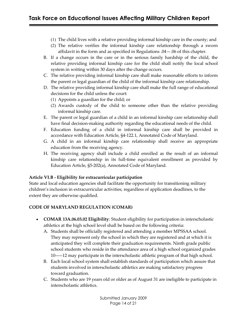- (1) The child lives with a relative providing informal kinship care in the county; and
- (2) The relative verifies the informal kinship care relationship through a sworn affidavit in the form and as specified in Regulations .04—.06 of this chapter.
- B. If a change occurs in the care or in the serious family hardship of the child, the relative providing informal kinship care for the child shall notify the local school system in writing within 30 days after the change occurs.
- C. The relative providing informal kinship care shall make reasonable efforts to inform the parent or legal guardian of the child of the informal kinship care relationship.
- D. The relative providing informal kinship care shall make the full range of educational decisions for the child unless the court:
	- (1) Appoints a guardian for the child; or
	- (2) Awards custody of the child to someone other than the relative providing informal kinship care.
- E. The parent or legal guardian of a child in an informal kinship care relationship shall have final decision-making authority regarding the educational needs of the child.
- F. Education funding of a child in informal kinship care shall be provided in accordance with Education Article, §4‑122.1, Annotated Code of Maryland.
- G. A child in an informal kinship care relationship shall receive an appropriate education from the receiving agency.
- H. The receiving agency shall include a child enrolled as the result of an informal kinship care relationship in its full-time equivalent enrollment as provided by Education Article, §5‑202(a), Annotated Code of Maryland.

### **Article VI.B ‑ Eligibility for extracurricular participation**

State and local education agencies shall facilitate the opportunity for transitioning military children's inclusion in extracurricular activities, regardless of application deadlines, to the extent they are otherwise qualified.

### **CODE OF MARYLAND REGULATION (COMAR)**

- · **COMAR 13A.06.03.02 Eligibility**: Student eligibility for participation in interscholastic athletics at the high school level shall be based on the following criteria:
	- A. Students shall be officially registered and attending a member MPSSAA school. They may represent only the school in which they are registered and at which it is anticipated they will complete their graduation requirements. Ninth grade public school students who reside in the attendance area of a high school organized grades 10———12 may participate in the interscholastic athletic program of that high school.
	- B. Each local school system shall establish standards of participation which assure that students involved in interscholastic athletics are making satisfactory progress toward graduation.
	- C. Students who are 19 years old or older as of August 31 are ineligible to participate in interscholastic athletics.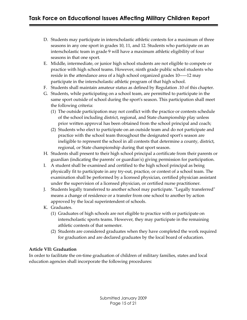- D. Students may participate in interscholastic athletic contests for a maximum of three seasons in any one sport in grades 10, 11, and 12. Students who participate on an interscholastic team in grade 9 will have a maximum athletic eligibility of four seasons in that one sport.
- E. Middle, intermediate, or junior high school students are not eligible to compete or practice with high school teams. However, ninth grade public school students who reside in the attendance area of a high school organized grades 10———12 may participate in the interscholastic athletic program of that high school.
- F. Students shall maintain amateur status as defined by Regulation .10 of this chapter.
- G. Students, while participating on a school team, are permitted to participate in the same sport outside of school during the sport's season. This participation shall meet the following criteria:
	- (1) The outside participation may not conflict with the practice or contests schedule of the school including district, regional, and State championship play unless prior written approval has been obtained from the school principal and coach;
	- (2) Students who elect to participate on an outside team and do not participate and practice with the school team throughout the designated sport's season are ineligible to represent the school in all contests that determine a county, district, regional, or State championship during that sport season.
- H. Students shall present to their high school principal a certificate from their parents or guardian (indicating the parentsʹ or guardianʹs) giving permission for participation.
- I. A student shall be examined and certified to the high school principal as being physically fit to participate in any try‑out, practice, or contest of a school team. The examination shall be performed by a licensed physician, certified physician assistant under the supervision of a licensed physician, or certified nurse practitioner.
- J. Students legally transferred to another school may participate. "Legally transferred" means a change of residence or a transfer from one school to another by action approved by the local superintendent of schools.
- K. Graduates.
	- (1) Graduates of high schools are not eligible to practice with or participate on interscholastic sports teams. However, they may participate in the remaining athletic contests of that semester.
	- (2) Students are considered graduates when they have completed the work required for graduation and are declared graduates by the local board of education.

### **Article VII: Graduation**

In order to facilitate the on-time graduation of children of military families, states and local education agencies shall incorporate the following procedures: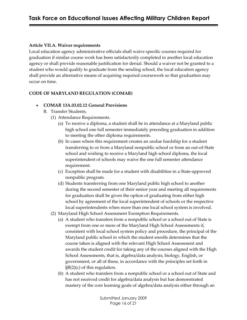#### **Article VII.A. Waiver requirements**

Local education agency administrative officials shall waive specific courses required for graduation if similar course work has been satisfactorily completed in another local education agency or shall provide reasonable justification for denial. Should a waiver not be granted to a student who would qualify to graduate from the sending school, the local education agency shall provide an alternative means of acquiring required coursework so that graduation may occur on time.

#### **CODE OF MARYLAND REGULATION (COMAR)**

- · **COMAR 13A.03.02.12 General Provisions**
	- B. Transfer Students.
		- (1) Attendance Requirements.
			- (a) To receive a diploma, a student shall be in attendance at a Maryland public high school one full semester immediately preceding graduation in addition to meeting the other diploma requirements.
			- (b) In cases where this requirement creates an undue hardship for a student transferring to or from a Maryland nonpublic school or from an out‑of‑State school and wishing to receive a Maryland high school diploma, the local superintendent of schools may waive the one full semester attendance requirement.
			- (c) Exception shall be made for a student with disabilities in a State‑approved nonpublic program.
			- (d) Students transferring from one Maryland public high school to another during the second semester of their senior year and meeting all requirements for graduation shall be given the option of graduating from either high school by agreement of the local superintendent of schools or the respective local superintendents when more than one local school system is involved.
		- (2) Maryland High School Assessment Exemption Requirements.
			- (a) A student who transfers from a nonpublic school or a school out of State is exempt from one or more of the Maryland High School Assessments if, consistent with local school system policy and procedure, the principal of the Maryland public school in which the student enrolls determines that the course taken is aligned with the relevant High School Assessment and awards the student credit for taking any of the courses aligned with the High School Assessments, that is, algebra/data analysis, biology, English, or government, or all of these, in accordance with the principles set forth in §B(2)(c) of this regulation.
			- (b) A student who transfers from a nonpublic school or a school out of State and has not received credit for algebra/data analysis but has demonstrated mastery of the core learning goals of algebra/data analysis either through an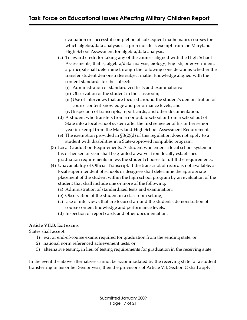evaluation or successful completion of subsequent mathematics courses for which algebra/data analysis is a prerequisite is exempt from the Maryland High School Assessment for algebra/data analysis.

- (c) To award credit for taking any of the courses aligned with the High School Assessments, that is, algebra/data analysis, biology, English, or government, a principal shall determine through the following considerations whether the transfer student demonstrates subject matter knowledge aligned with the content standards for the subject:
	- (i) Administration of standardized tests and examinations;
	- (ii) Observation of the student in the classroom;
	- (iii)Use of interviews that are focused around the studentʹs demonstration of course content knowledge and performance levels; and
	- (iv)Inspection of transcripts, report cards, and other documentation.
- (d) A student who transfers from a nonpublic school or from a school out of State into a local school system after the first semester of his or her senior year is exempt from the Maryland High School Assessment Requirements.
- (e) The exemption provided in §B(2)(d) of this regulation does not apply to a student with disabilities in a State‑approved nonpublic program.
- (3) Local Graduation Requirements. A student who enters a local school system in his or her senior year shall be granted a waiver from locally established graduation requirements unless the student chooses to fulfill the requirements.
- (4) Unavailability of Official Transcript. If the transcript of record is not available, a local superintendent of schools or designee shall determine the appropriate placement of the student within the high school program by an evaluation of the student that shall include one or more of the following:
	- (a) Administration of standardized tests and examination;
	- (b) Observation of the student in a classroom setting;
	- (c) Use of interviews that are focused around the studentʹs demonstration of course content knowledge and performance levels;
	- (d) Inspection of report cards and other documentation.

### **Article VII.B. Exit exams**

States shall accept:

- 1) exit or end-of-course exams required for graduation from the sending state; or
- 2) national norm referenced achievement tests; or
- 3) alternative testing, in lieu of testing requirements for graduation in the receiving state.

In the event the above alternatives cannot be accommodated by the receiving state for a student transferring in his or her Senior year, then the provisions of Article VII, Section C shall apply.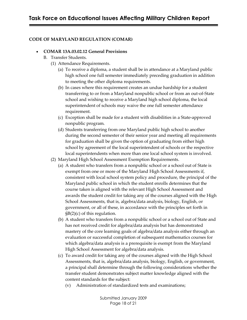#### **CODE OF MARYLAND REGULATION (COMAR)**

#### · **COMAR 13A.03.02.12 General Provisions**

- B. Transfer Students.
	- (1) Attendance Requirements.
		- (a) To receive a diploma, a student shall be in attendance at a Maryland public high school one full semester immediately preceding graduation in addition to meeting the other diploma requirements.
		- (b) In cases where this requirement creates an undue hardship for a student transferring to or from a Maryland nonpublic school or from an out‑of‑State school and wishing to receive a Maryland high school diploma, the local superintendent of schools may waive the one full semester attendance requirement.
		- (c) Exception shall be made for a student with disabilities in a State‑approved nonpublic program.
		- (d) Students transferring from one Maryland public high school to another during the second semester of their senior year and meeting all requirements for graduation shall be given the option of graduating from either high school by agreement of the local superintendent of schools or the respective local superintendents when more than one local school system is involved.
	- (2) Maryland High School Assessment Exemption Requirements.
		- (a) A student who transfers from a nonpublic school or a school out of State is exempt from one or more of the Maryland High School Assessments if, consistent with local school system policy and procedure, the principal of the Maryland public school in which the student enrolls determines that the course taken is aligned with the relevant High School Assessment and awards the student credit for taking any of the courses aligned with the High School Assessments, that is, algebra/data analysis, biology, English, or government, or all of these, in accordance with the principles set forth in §B(2)(c) of this regulation.
		- (b) A student who transfers from a nonpublic school or a school out of State and has not received credit for algebra/data analysis but has demonstrated mastery of the core learning goals of algebra/data analysis either through an evaluation or successful completion of subsequent mathematics courses for which algebra/data analysis is a prerequisite is exempt from the Maryland High School Assessment for algebra/data analysis.
		- (c) To award credit for taking any of the courses aligned with the High School Assessments, that is, algebra/data analysis, biology, English, or government, a principal shall determine through the following considerations whether the transfer student demonstrates subject matter knowledge aligned with the content standards for the subject:
			- (v) Administration of standardized tests and examinations;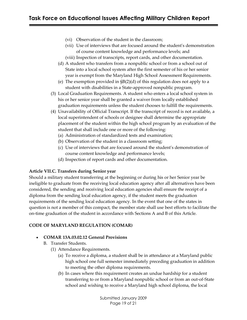- (vi) Observation of the student in the classroom;
- (vii) Use of interviews that are focused around the studentʹs demonstration of course content knowledge and performance levels; and
- (viii) Inspection of transcripts, report cards, and other documentation.
- (d) A student who transfers from a nonpublic school or from a school out of State into a local school system after the first semester of his or her senior year is exempt from the Maryland High School Assessment Requirements.
- (e) The exemption provided in §B(2)(d) of this regulation does not apply to a student with disabilities in a State‑approved nonpublic program.
- (3) Local Graduation Requirements. A student who enters a local school system in his or her senior year shall be granted a waiver from locally established graduation requirements unless the student chooses to fulfill the requirements.
- (4) Unavailability of Official Transcript. If the transcript of record is not available, a local superintendent of schools or designee shall determine the appropriate placement of the student within the high school program by an evaluation of the student that shall include one or more of the following:
	- (a) Administration of standardized tests and examination;
	- (b) Observation of the student in a classroom setting;
	- (c) Use of interviews that are focused around the studentʹs demonstration of course content knowledge and performance levels;
	- (d) Inspection of report cards and other documentation.

#### **Article VII.C. Transfers during Senior year**

Should a military student transferring at the beginning or during his or her Senior year be ineligible to graduate from the receiving local education agency after all alternatives have been considered, the sending and receiving local education agencies shall ensure the receipt of a diploma from the sending local education agency, if the student meets the graduation requirements of the sending local education agency. In the event that one of the states in question is not a member of this compact, the member state shall use best efforts to facilitate the on‑time graduation of the student in accordance with Sections A and B of this Article.

#### **CODE OF MARYLAND REGULATION (COMAR)**

#### · **COMAR 13A.03.02.12 General Provisions**

- B. Transfer Students.
	- (1) Attendance Requirements.
		- (a) To receive a diploma, a student shall be in attendance at a Maryland public high school one full semester immediately preceding graduation in addition to meeting the other diploma requirements.
		- (b) In cases where this requirement creates an undue hardship for a student transferring to or from a Maryland nonpublic school or from an out‑of‑State school and wishing to receive a Maryland high school diploma, the local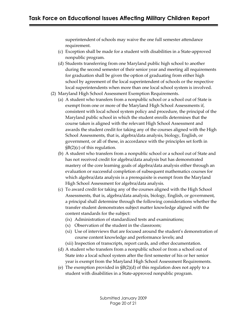superintendent of schools may waive the one full semester attendance requirement.

- (c) Exception shall be made for a student with disabilities in a State‑approved nonpublic program.
- (d) Students transferring from one Maryland public high school to another during the second semester of their senior year and meeting all requirements for graduation shall be given the option of graduating from either high school by agreement of the local superintendent of schools or the respective local superintendents when more than one local school system is involved.
- (2) Maryland High School Assessment Exemption Requirements.
	- (a) A student who transfers from a nonpublic school or a school out of State is exempt from one or more of the Maryland High School Assessments if, consistent with local school system policy and procedure, the principal of the Maryland public school in which the student enrolls determines that the course taken is aligned with the relevant High School Assessment and awards the student credit for taking any of the courses aligned with the High School Assessments, that is, algebra/data analysis, biology, English, or government, or all of these, in accordance with the principles set forth in §B(2)(c) of this regulation.
	- (b) A student who transfers from a nonpublic school or a school out of State and has not received credit for algebra/data analysis but has demonstrated mastery of the core learning goals of algebra/data analysis either through an evaluation or successful completion of subsequent mathematics courses for which algebra/data analysis is a prerequisite is exempt from the Maryland High School Assessment for algebra/data analysis.
	- (c) To award credit for taking any of the courses aligned with the High School Assessments, that is, algebra/data analysis, biology, English, or government, a principal shall determine through the following considerations whether the transfer student demonstrates subject matter knowledge aligned with the content standards for the subject:
		- (ix) Administration of standardized tests and examinations;
		- (x) Observation of the student in the classroom;
		- (xi) Use of interviews that are focused around the studentʹs demonstration of course content knowledge and performance levels; and
		- (xii) Inspection of transcripts, report cards, and other documentation.
	- (d) A student who transfers from a nonpublic school or from a school out of State into a local school system after the first semester of his or her senior year is exempt from the Maryland High School Assessment Requirements.
	- (e) The exemption provided in §B(2)(d) of this regulation does not apply to a student with disabilities in a State‑approved nonpublic program.